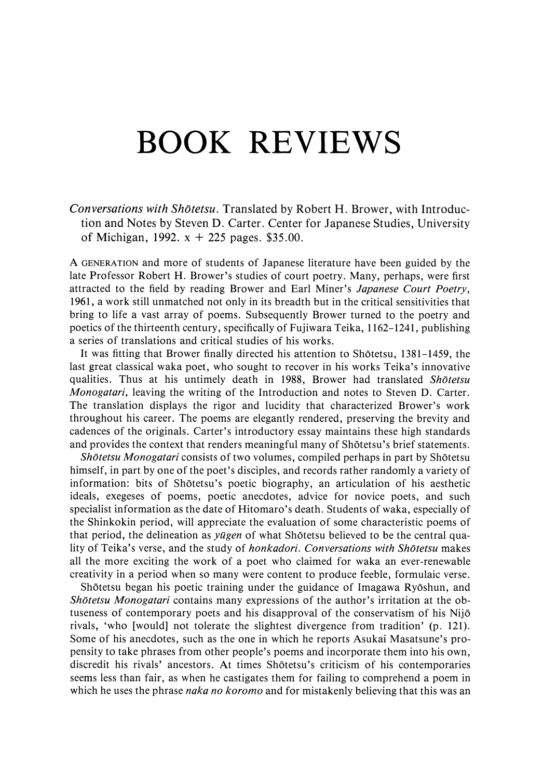## BOOK REVIEWS

Conversations with Shōtetsu. Translated by Robert H. Brower, with Introduction and Notes by Steven D. Carter. Center for Japanese Studies, University of Michigan, 1992.  $x + 225$  pages. \$35.00.

A GENERATION and more of students of Japanese literature have been guided by the late Professor Robert H. Brower's studies of court poetry. Many, perhaps, were first attracted to the field by reading Brower and Earl Miner's Japanese Court Poetry, 1961, a work still unmatched not only in its breadth but in the critical sensitivities that bring to life a vast array of poems. Subsequently Brower turned to the poetry and poetics of the thirteenth century, specifically of Fujiwara Teika, 1162-1241, publishing a series of translations and critical studies of his works.

It was fitting that Brower finally directed his attention to Shōtetsu, 1381-1459, the last great classical waka poet, who sought to recover in his works Teika's innovative qualities. Thus at his untimely death in 1988, Brower had translated Shotetsu Monogatari, leaving the writing of the Introduction and notes to Steven D. Carter. The translation displays the rigor and lucidity that characterized Brower's work throughout his career. The poems are elegantly rendered, preserving the brevity and cadences of the originals. Carter's introductory essay maintains these high standards and provides the context that renders meaningful many of Shotetsu's brief statements.

Shotetsu Monogatari consists of two volumes, compiled perhaps in part by Shotetsu<br>himself, in part by one of the poet's disciples, and records rather randomly a variety of information: bits of Shotetsu's poetic biography, an articulation of his aesthetic ideals, exegeses of poems, poetic anecdotes, advice for novice poets, and such specialist information as the date of Hitomaro's death. Students of waka, especially of the Shinkokin period, will appreciate the evaluation of some characteristic poems of that period, the delineation as *yūgen* of what Shōtetsu believed to be the central quality of Teika's verse, and the study of honkadori. Conversations with Shotetsu makes all the more exciting the work of a poet who claimed for waka an ever-renewable creativity in a period when so many were content to produce feeble, formulaic verse.

Shōtetsu began his poetic training under the guidance of Imagawa Ryōshun, and Shōtetsu Monogatari contains many expressions of the author's irritation at the obtuseness of contemporary poets and his disapproval of the conservatism of his Nijo rivals, 'who [would] not tolerate the slightest divergence from tradition' (p. 121). Some of his anecdotes, such as the one in which he reports Asukai Masatsune's propensity to take phrases from other people's poems and incorporate them into his own, discredit his rivals' ancestors. At times Shotetsu's criticism of his contemporaries seemsless than fair, as when he castigates them for failing to comprehend a poem in which he uses the phrase *naka no koromo* and for mistakenly believing that this was an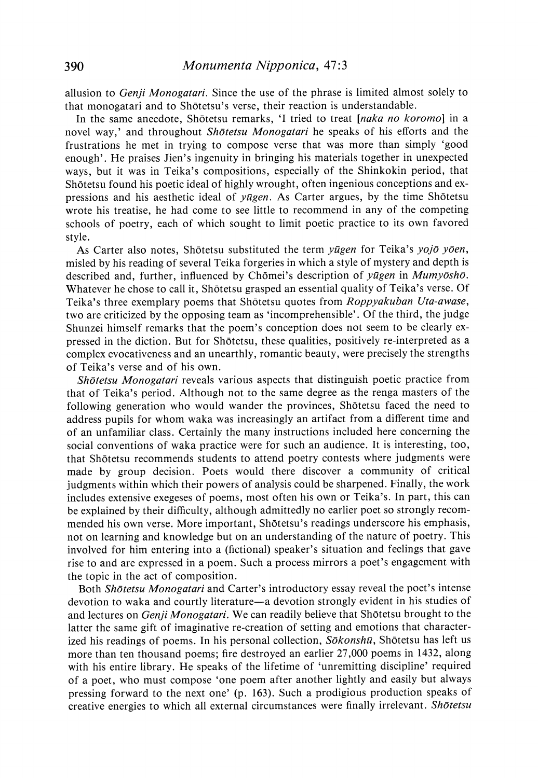allusion to Genji Monogatari. Since the use of the phrase is limited almost solely to that monogatari and to Shōtetsu's verse, their reaction is understandable.

In the same anecdote, Shōtetsu remarks, 'I tried to treat [naka no koromo] in a novel way,' and throughout Shotetsu Monogatari he speaks of his efforts and the frustrations he met in trying to compose verse that was more than simply 'good enough'. He praises Jien's ingenuity in bringing his materials together in unexpected ways, but it was in Teika's compositions, especially of the Shinkokin period, that Shotetsu found his poetic ideal of highly wrought, often ingenious conceptions and expressions and his aesthetic ideal of yagen. As Carter argues, by the time Shotetsu wrote his treatise, he had come to see little to recommend in any of the competing schools of poetry, each of which sought to limit poetic practice to its own favored style.

As Carter also notes, Shōtetsu substituted the term yūgen for Teika's yojō yōen, misled by his reading of several Teika forgeries in which <sup>a</sup> style of mystery and depthis described and, further, influenced by Chōmei's description of yūgen in Mumyōshō. Whatever he chose to call it, Shōtetsu grasped an essential quality of Teika's verse. Of Teika's three exemplary poems that Shōtetsu quotes from Roppyakuban Uta-awase, two are criticized by the opposing team as 'incomprehensible'. Of the third, the judge Shunzei himself remarks that the poem's conception does not seem to be clearly expressed in the diction. But for Shdtetsu, these qualities, positively re-interpreted as a complex evocativeness and an unearthly, romantic beauty, were precisely the strengths of Teika's verse and of his own.

Shōtetsu Monogatari reveals various aspects that distinguish poetic practice from that of Teika's period. Although not to the same degree as the renga masters of the following generation who would wander the provinces, Shotetsu faced the need to address pupils for whom waka was increasingly an artifact from a different time and of an unfamiliar class. Certainly the many instructions included here concerning the social conventions of waka practice were for such an audience. It is interesting, too, that Shotetsu recommends students to attend poetry contests where judgments were made by group decision. Poets would there discover a community of critical judgments within which their powers of analysis could be sharpened. Finally, the work includes extensive exegeses of poems, most often his own or Teika's. In part, this can be explained by their difficulty, although admittedly no earlier poet so strongly recommended his own verse. More important, Shotetsu's readings underscore his emphasis, not on learning and knowledge but on an understanding of the nature of poetry. This involved for him entering into a (fictional) speaker's situation and feelings that gave rise to and are expressed in a poem. Such a process mirrors a poet's engagement with the topic in the act of composition.

Both Shotetsu Monogatari and Carter's introductory essay reveal the poet's intense devotion to waka and courtly literature—a devotion strongly evident in his studies of and lectures on Genji Monogatari. We can readily believe that Shōtetsu brought to the latter the same gift of imaginative re-creation of setting and emotions that characterized his readings of poems. In his personal collection,  $S\bar{o}konsh\bar{u}$ , Shōtetsu has left us more than ten thousand poems; fire destroyed an earlier 27,000 poems in 1432, along with his entire library. He speaks of the lifetime of 'unremitting discipline' required of a poet, who must compose 'one poem after another lightly and easily but always pressing forward to the next one' (p. 163). Such a prodigious production speaks of creative energies to which all external circumstances were finally irrelevant. Shotetsu